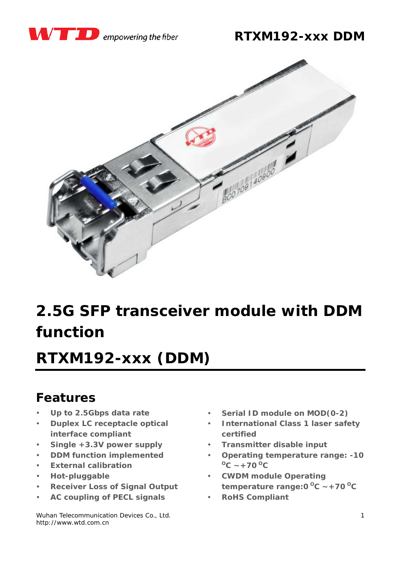

### **RTXM192-xxx DDM**



# **2.5G SFP transceiver module with DDM function**

# *RTXM192-xxx (DDM)*

### **Features**

- *Up to 2.5Gbps data rate*
- *Duplex LC receptacle optical interface compliant*
- *Single +3.3V power supply*
- *DDM function implemented*
- *External calibration*
- *Hot-pluggable*
- *Receiver Loss of Signal Output*
- *AC coupling of PECL signals*

Wuhan Telecommunication Devices Co., Ltd. http://www.wtd.com.cn

- *Serial ID module on MOD(0-2)*
- *International Class 1 laser safety certified*
- *Transmitter disable input*
- *Operating temperature range: -10*  $^{0}C \sim +70^{0}C$
- *CWDM module Operating temperature range:* $0^{\circ}$ C ~ +70 $^{\circ}$ C
- *RoHS Compliant*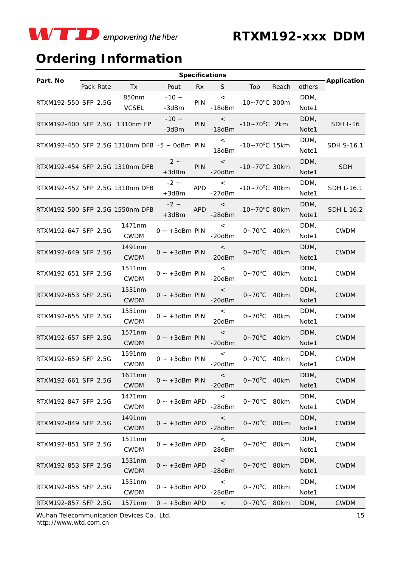

## **Ordering Information**

| Part. No                                           |  | Pack Rate | Tx                    | Pout                  | <b>Rx</b>  | S.                      | Top                       | Reach | others        | -Application      |
|----------------------------------------------------|--|-----------|-----------------------|-----------------------|------------|-------------------------|---------------------------|-------|---------------|-------------------|
| RTXM192-550 SFP 2.5G                               |  |           | 850nm<br><b>VCSEL</b> | $-10 -$<br>-3dBm      | PIN        | $\,<\,$<br>$-18dBm$     | $-10 - 70^{\circ}$ C 300m |       | DDM,<br>Note1 |                   |
| RTXM192-400 SFP 2.5G 1310nm FP                     |  |           |                       | $-10 -$<br>-3dBm      | <b>PIN</b> | $\lt$<br>$-18dBm$       | $-10 - 70^{\circ}$ C 2km  |       | DDM,<br>Note1 | <b>SDH I-16</b>   |
| RTXM192-450 SFP 2.5G 1310nm DFB $-5 \sim$ 0dBm PIN |  |           |                       |                       |            | $\,<\,$<br>$-18dBm$     | $-10 - 70^{\circ}$ C 15km |       | DDM,<br>Note1 | <b>SDH S-16.1</b> |
| RTXM192-454 SFP 2.5G 1310nm DFB                    |  |           |                       | $-2 -$<br>$+3$ d $Bm$ | PIN        | $\,<\,$<br>$-20dBm$     | $-10 - 70^{\circ}$ C 30km |       | DDM,<br>Note1 | <b>SDH</b>        |
| RTXM192-452 SFP 2.5G 1310nm DFB                    |  |           |                       | $-2 -$<br>$+3$ d $Bm$ | <b>APD</b> | $\lt$<br>$-27$ d $Bm$   | $-10 - 70^{\circ}$ C 40km |       | DDM,<br>Note1 | SDH L-16.1        |
| RTXM192-500 SFP 2.5G 1550nm DFB                    |  |           |                       | $-2 -$<br>$+3$ dBm    | <b>APD</b> | $\lt$<br>$-28dBm$       | $-10 - 70^{\circ}$ C 80km |       | DDM,<br>Note1 | <b>SDH L-16.2</b> |
| RTXM192-647 SFP 2.5G                               |  |           | 1471nm<br><b>CWDM</b> | $0 \sim +3$ dBm PIN   |            | $\,<$<br>$-20dBm$       | $0 - 70$ °C               | 40km  | DDM,<br>Note1 | <b>CWDM</b>       |
| RTXM192-649 SFP 2.5G                               |  |           | 1491nm<br><b>CWDM</b> | $0 \sim +3$ dBm PIN   |            | $\lt$<br>$-20dBm$       | $0 - 70$ <sup>o</sup> C   | 40km  | DDM,<br>Note1 | <b>CWDM</b>       |
| RTXM192-651 SFP 2.5G                               |  |           | 1511nm<br><b>CWDM</b> | $0 - +3$ dBm PIN      |            | $\,<\,$<br>$-20dBm$     | $0 - 70$ <sup>o</sup> C   | 40km  | DDM,<br>Note1 | <b>CWDM</b>       |
| RTXM192-653 SFP 2.5G                               |  |           | 1531nm<br><b>CWDM</b> | $0 - +3$ dBm PIN      |            | $\,<\,$<br>$-20$ d $Bm$ | $0 - 70$ °C               | 40km  | DDM,<br>Note1 | <b>CWDM</b>       |
| RTXM192-655 SFP 2.5G                               |  |           | 1551nm<br><b>CWDM</b> | $0 - +3$ dBm PIN      |            | $\,<\,$<br>$-20dBm$     | $0 - 70$ °C               | 40km  | DDM,<br>Note1 | <b>CWDM</b>       |
| RTXM192-657 SFP 2.5G                               |  |           | 1571nm<br><b>CWDM</b> | $0 \sim +3$ dBm PIN   |            | $\,<$<br>$-20dBm$       | $0 - 70$ <sup>o</sup> C   | 40km  | DDM,<br>Note1 | <b>CWDM</b>       |
| RTXM192-659 SFP 2.5G                               |  |           | 1591nm<br><b>CWDM</b> | $0 - +3$ dBm PIN      |            | $\,<\,$<br>$-20dBm$     | $0 - 70$ <sup>o</sup> C   | 40km  | DDM,<br>Note1 | <b>CWDM</b>       |
| RTXM192-661 SFP 2.5G                               |  |           | 1611nm<br><b>CWDM</b> | $0 - +3$ dBm PIN      |            | $\,<\,$<br>$-20dBm$     | $0 - 70^{\circ}$ C 40km   |       | DDM,<br>Note1 | <b>CWDM</b>       |
| RTXM192-847 SFP 2.5G                               |  |           | 1471nm<br><b>CWDM</b> | $0 - +3$ dBm APD      |            | $\,<$<br>$-28dBm$       | $0-70^{\circ}$ C 80km     |       | DDM,<br>Note1 | <b>CWDM</b>       |
| RTXM192-849 SFP 2.5G                               |  |           | 1491nm<br><b>CWDM</b> | $0 - +3$ dBm APD      |            | $\,<$<br>$-28dBm$       | $0 - 70^{\circ}C$ 80km    |       | DDM,<br>Note1 | <b>CWDM</b>       |
| RTXM192-851 SFP 2.5G                               |  |           | 1511nm<br><b>CWDM</b> | $0 - +3$ dBm APD      |            | $\,<\,$<br>-28dBm       | $0 - 70$ <sup>o</sup> C   | 80km  | DDM,<br>Note1 | <b>CWDM</b>       |
| RTXM192-853 SFP 2.5G                               |  |           | 1531nm<br><b>CWDM</b> | $0 - +3$ dBm APD      |            | $\,<$<br>$-28$ d $Bm$   | $0 - 70$ <sup>o</sup> C   | 80km  | DDM,<br>Note1 | <b>CWDM</b>       |
| RTXM192-855 SFP 2.5G                               |  |           | 1551nm<br><b>CWDM</b> | $0 - +3$ dBm APD      |            | $\,<\,$<br>-28dBm       | $0 - 70$ °C               | 80km  | DDM,<br>Note1 | <b>CWDM</b>       |
| RTXM192-857 SFP 2.5G                               |  |           | 1571nm                | $0 - +3$ dBm APD      |            | $\lt$                   | $0 - 70^{\circ}$ C 80km   |       | DDM,          | <b>CWDM</b>       |

Wuhan Telecommunication Devices Co., Ltd. http://www.wtd.com.cn